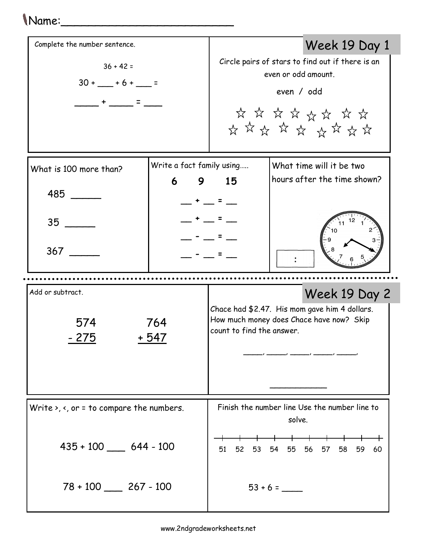## Name:\_\_\_\_\_\_\_\_\_\_\_\_\_\_\_\_\_\_\_\_\_\_\_\_\_

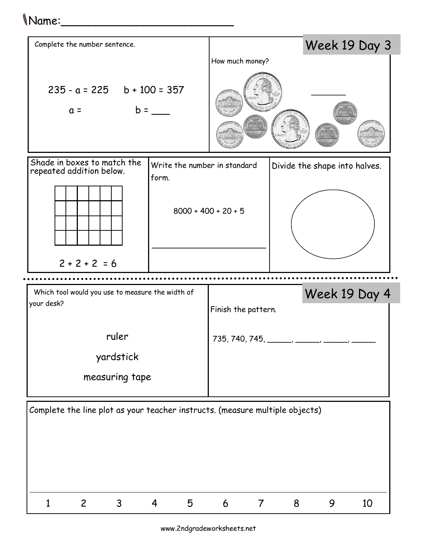## Name:\_\_\_\_\_\_\_\_\_\_\_\_\_\_\_\_\_\_\_\_\_\_\_\_\_



www.2ndgradeworksheets.net